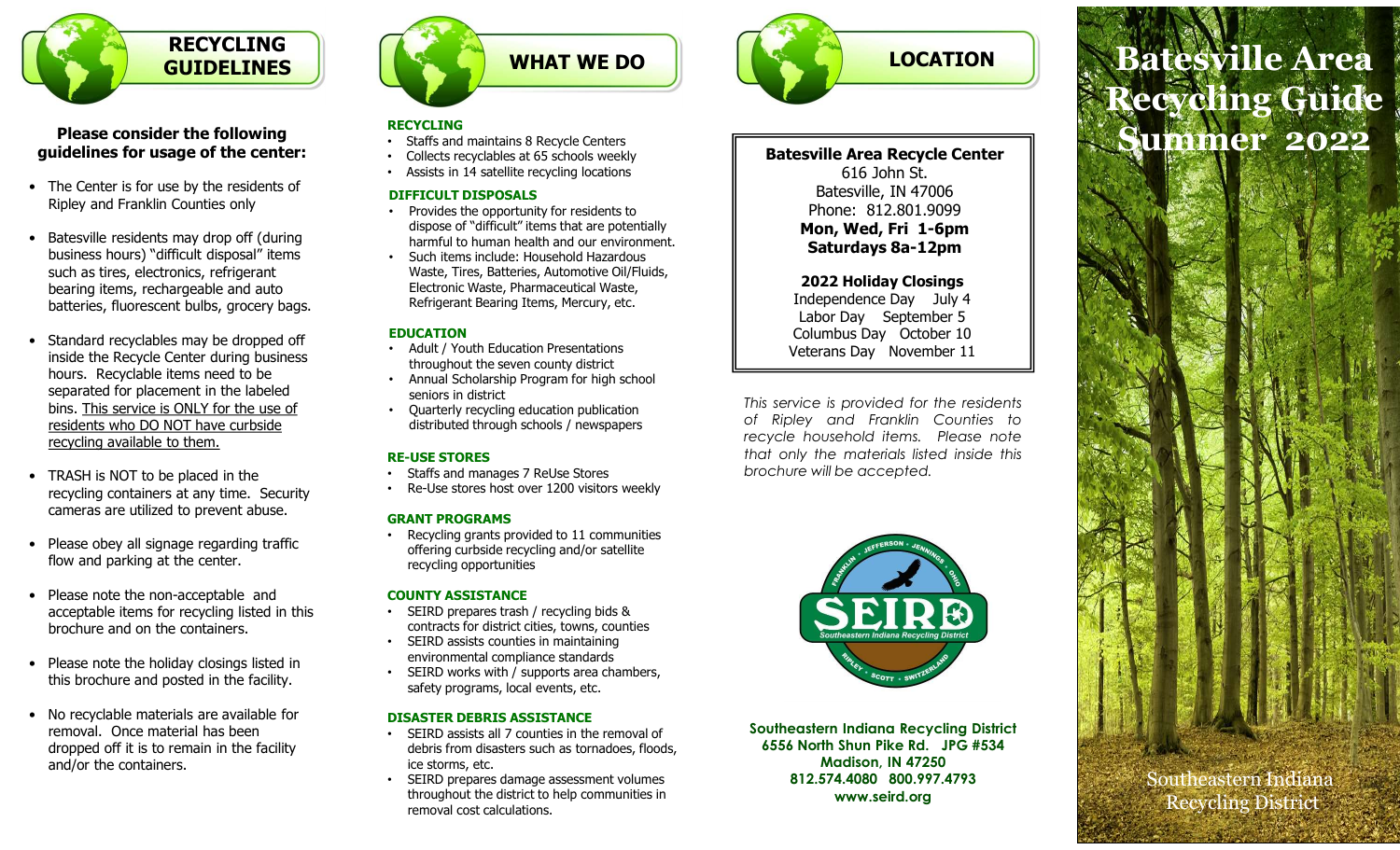

### Please consider the following guidelines for usage of the center:

- Ripley and Franklin Counties only
- business hours) "difficult disposal" items such as tires, electronics, refrigerant bearing items, rechargeable and auto batteries, fluorescent bulbs, grocery bags.
- inside the Recycle Center during business hours. Recyclable items need to be separated for placement in the labeled bins. This service is ONLY for the use of residents who DO NOT have curbside recycling available to them. **Please consider the following<br>
• The Center is for usage of the center:**<br>
• The Center is for use by the residents of<br>
• The Center is for use by the residents of<br>
• Batesville residents may drop off (during<br>
• Batesville • The Center is for use by the residents of<br>
• Patesville residents and y drop of (during<br>
• Batesville residents may drop of (during<br>
business hours) "difficult disposal" items<br>
such a times in the bates, electronic stren • Batesville residents may drop off (during<br>
business hours) "difficult disposal" items<br>
such as tires, rechargeable and atto and the mindle beat Tires, Backronic Waster<br>
bearing items, rechargeable and atto beat acceptab batteries, fluorescent bulbs, grocery bags.<br>
• Standard recyclables may be dropped off<br>
inside the Recycle Center during business<br>
• Standard recyclable items need to be<br>
separated for placement in the habeled<br>
ins. This • Matit / Youth Ed in the alone of prioring to a street of prioring to prioring to the second to place in the alone of the second of the second prioring available to them.<br>
• TRASH is NOT to be placed in the second ava
- recycling containers at any time. Security cameras are utilized to prevent abuse.
- flow and parking at the center.
- acceptable items for recycling listed in this brochure and on the containers.
- this brochure and posted in the facility.
- removal. Once material has been dropped off it is to remain in the facility and/or the containers.



### RECYCLING

- Staffs and maintains 8 Recycle Centers
- Collects recyclables at 65 schools weekly
- Assists in 14 satellite recycling locations

### DIFFICULT DISPOSALS

- Provides the opportunity for residents to dispose of "difficult" items that are potentially harmful to human health and our environment.
- Such items include: Household Hazardous Waste, Tires, Batteries, Automotive Oil/Fluids, Electronic Waste, Pharmaceutical Waste, Refrigerant Bearing Items, Mercury, etc.

### EDUCATION

- Adult / Youth Education Presentations throughout the seven county district
- Annual Scholarship Program for high school seniors in district
- 

- Staffs and manages 7 ReUse Stores
- Re-Use stores host over 1200 visitors weekly

### GRANT PROGRAMS

• Recycling grants provided to 11 communities offering curbside recycling and/or satellite recycling opportunities

### COUNTY ASSISTANCE

- SEIRD prepares trash / recycling bids & contracts for district cities, towns, counties
- SEIRD assists counties in maintaining environmental compliance standards
- SEIRD works with / supports area chambers, safety programs, local events, etc.

### DISASTER DEBRIS ASSISTANCE

- SEIRD assists all 7 counties in the removal of debris from disasters such as tornadoes, floods, ice storms, etc.
- SEIRD prepares damage assessment volumes throughout the district to help communities in removal cost calculations.



Batesville Area Recycle Center

616 John St. Batesville, IN 47006 Phone: 812.801.9099 Mon, Wed, Fri 1-6pm Saturdays 8a-12pm

### 2022 Holiday Closings

Independence Day July 4 Labor Day September 5 Columbus Day October 10 Veterans Day November 11

Recycling Guide<br>
Batesville Area Recycle Center<br>
Gla John St.<br>
Batesville, IN 47006<br>
Phone. 812.801.999<br>
Mon, Wed, Fri 1-6pm<br>
Saturdays 8a-12pm<br>
2022 Holiday Closings<br>
Independence Day September 5<br>
Columbus Day October 10<br> Example 1<br>
Batesville Area Recycle Center<br>
Equipment and Statesville, IN 47006<br>
Phone: 812.801.9099<br>
Mon, Wed, Fri 1-6pm<br>
Sturday Sa-12pm<br>
2022 Holiday Closings<br>
Independence Day July 4<br>
Labor Day September 1<br>
University a Batesville Area Recycle Center<br>
616 John St.<br>
Batesville, IN 47006<br>
Phone: 812.801.9099<br>
Mon, Wed, Fri 1-6pm<br>
Saturdays 8a-12pm<br>
2022 Holiday Closings<br>
Independence Day July 4<br>
Labor Day September 5<br>
Columbus Day October 1 • Quarterly recycling education publication<br>distributed through schools ( newspapers of Ripley and Franklin Counties to distributed through schools / newspapers OT RIPIEY and Franklin Countles to<br>recycle household items. Please note **RE-USE STORES**<br> **RE-USE STORES**<br> **RE-USE STORES**<br> **RE-USE STORES**<br> **RE-USE STORES**<br> **RE-USE STORES**<br> **RE-USE STORES**<br> **RE-USE STORES** 



Southeastern Indiana Recycling District 6556 North Shun Pike Rd. JPG #534 Madison, IN 47250 812.574.4080 800.997.4793 www.seird.org

# LOCATION | **Batesville Area Example 3 Accessible Area**<br> **Example 2022**<br> **Example 2022**<br> **Examplementary Statesville, IN 47006**<br>
Phone. 812.801,9099<br>
Mon, Wed, Fri 1-6pm<br>
Staturdays 8a-12pm<br>
2022 Holiday Closings<br>
Independence Day July 4<br>
Labor Day S **EXECUTE ATEST RECONSIDE ATEST**<br>
Batesville Area Recycle Center<br>
Execute of Bio John St.<br>
Batesville, IN 47006<br>
Phone: 812.801.9099<br>
Mon, Wed, Fri 1-6pm<br>
Saturalys 8a-12pm<br>
2022 Holiday Goissings<br>
2022 Holiday Goissings<br>
I Recycling Guide Summer 2022

Southeastern Indiana Recycling District